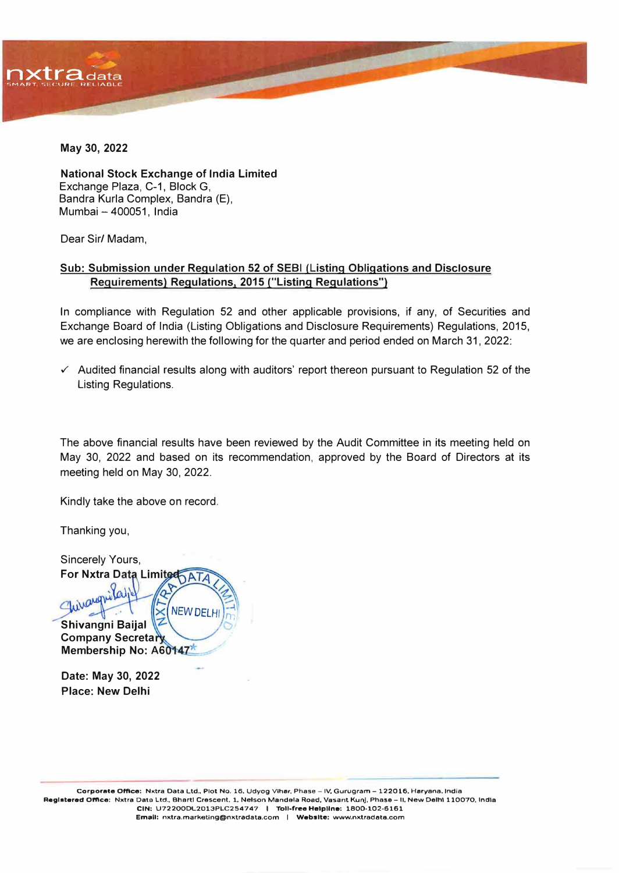

#### **May 30, 2022**

**National Stock Exchange of India Limited**  Exchange Plaza, C-1, Block G, Bandra Kurla Complex, Bandra (E), Mumbai - 400051, India

Dear Sir/ Madam,

## **Sub: Submission under Regulation 52 of SEBI {Listing Obligations and Disclosure Requirements) Regulations, 2015 ("Listing Regulations")**

In compliance with Regulation 52 and other applicable provisions, if any, of Securities and Exchange Board of India (Listing Obligations and Disclosure Requirements) Regulations, 2015, we are enclosing herewith the following for the quarter and period ended on March 31, 2022:

 $\checkmark$  Audited financial results along with auditors' report thereon pursuant to Regulation 52 of the Listing Regulations.

The above financial results have been reviewed by the Audit Committee in its meeting held on May 30, 2022 and based on its recommendation, approved by the Board of Directors at its meeting held on May 30, 2022.

Kindly take the above on record.

Thanking you,

Sincerely Yours, **For Nxtra Data Limited ATA** quivargrilar **NEW DELH Shivangni Baijal Company Secretary Membership No: A60147** 

**Date: May 30, 2022 Place: New Delhi**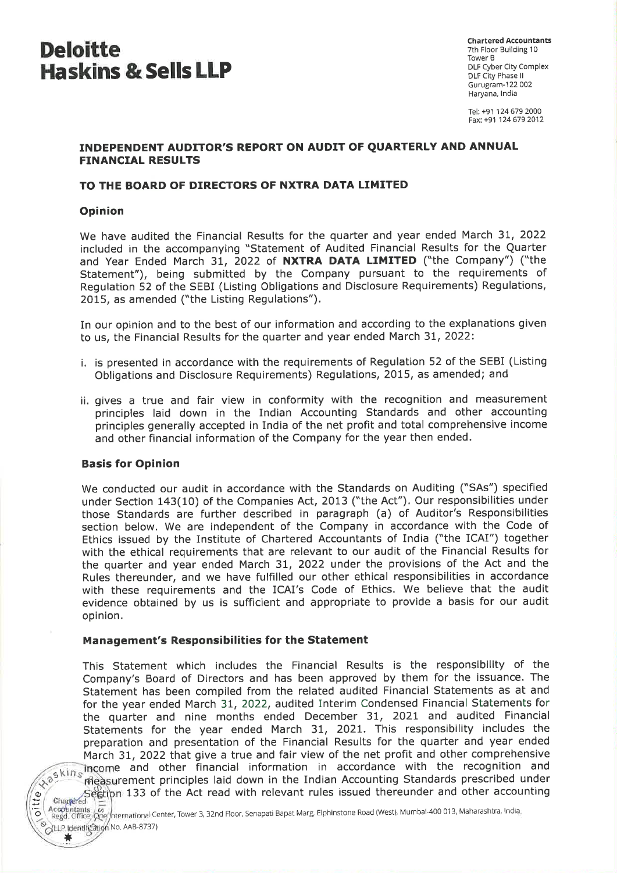# **Deloitte Haskins & Sells LLP**

**Chartered Accountants** 7th Floor Building 10 Tower B DLF Cyber City Complex DLF City Phase II Gurugram-122 002 Haryana, India

Tel: +91 124 679 2000 Fax: +91 124 679 2012

### INDEPENDENT AUDITOR'S REPORT ON AUDIT OF QUARTERLY AND ANNUAL **FINANCIAL RESULTS**

### TO THE BOARD OF DIRECTORS OF NXTRA DATA LIMITED

#### Opinion

We have audited the Financial Results for the quarter and year ended March 31, 2022 included in the accompanying "Statement of Audited Financial Results for the Quarter and Year Ended March 31, 2022 of NXTRA DATA LIMITED ("the Company") ("the Statement"), being submitted by the Company pursuant to the requirements of Regulation 52 of the SEBI (Listing Obligations and Disclosure Requirements) Regulations, 2015, as amended ("the Listing Regulations").

In our opinion and to the best of our information and according to the explanations given to us, the Financial Results for the quarter and year ended March 31, 2022:

- i. is presented in accordance with the requirements of Regulation 52 of the SEBI (Listing Obligations and Disclosure Requirements) Regulations, 2015, as amended; and
- ii. gives a true and fair view in conformity with the recognition and measurement principles laid down in the Indian Accounting Standards and other accounting principles generally accepted in India of the net profit and total comprehensive income and other financial information of the Company for the year then ended.

#### **Basis for Opinion**

oitte

We conducted our audit in accordance with the Standards on Auditing ("SAs") specified under Section 143(10) of the Companies Act, 2013 ("the Act"). Our responsibilities under those Standards are further described in paragraph (a) of Auditor's Responsibilities section below. We are independent of the Company in accordance with the Code of Ethics issued by the Institute of Chartered Accountants of India ("the ICAI") together with the ethical requirements that are relevant to our audit of the Financial Results for the quarter and year ended March 31, 2022 under the provisions of the Act and the Rules thereunder, and we have fulfilled our other ethical responsibilities in accordance with these requirements and the ICAI's Code of Ethics. We believe that the audit evidence obtained by us is sufficient and appropriate to provide a basis for our audit opinion.

#### Management's Responsibilities for the Statement

This Statement which includes the Financial Results is the responsibility of the Company's Board of Directors and has been approved by them for the issuance. The Statement has been compiled from the related audited Financial Statements as at and for the year ended March 31, 2022, audited Interim Condensed Financial Statements for the quarter and nine months ended December 31, 2021 and audited Financial Statements for the year ended March 31, 2021. This responsibility includes the preparation and presentation of the Financial Results for the quarter and year ended March 31, 2022 that give a true and fair view of the net profit and other comprehensive **A**skins Income and other financial information in accordance with the recognition and measurement principles laid down in the Indian Accounting Standards prescribed under Section 133 of the Act read with relevant rules issued thereunder and other accounting

# Accountants | 6<br>Regd. Office; Qne International Center, Tower 3, 32nd Floor, Senapati Bapat Marg, Elphinstone Road (West), Mumbai-400 013, Maharashtra, India. CILLP Identification No. AAB-8737)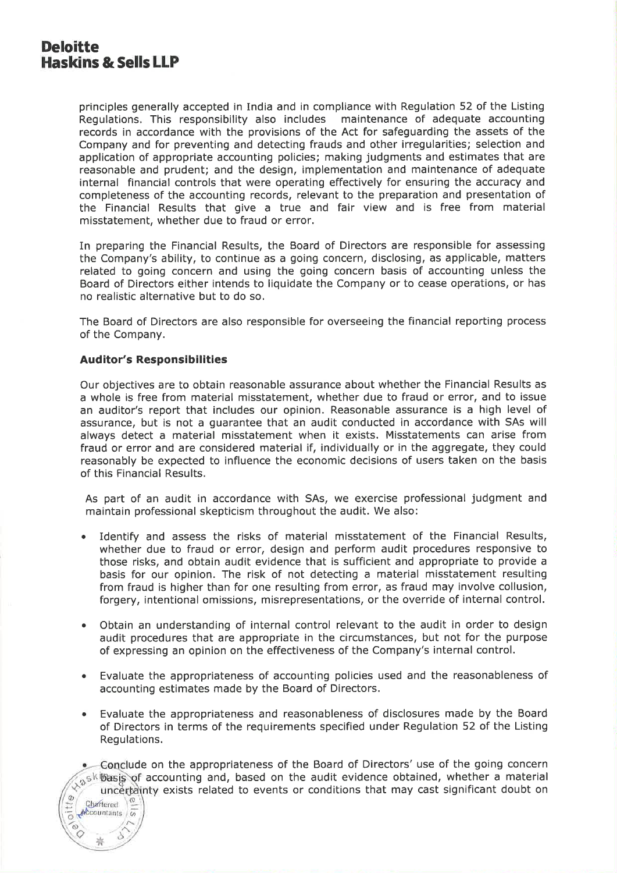principles generally accepted in India and in compliance with Regulation 52 of the Listing maintenance of adequate accounting Regulations. This responsibility also includes records in accordance with the provisions of the Act for safeguarding the assets of the Company and for preventing and detecting frauds and other irregularities; selection and application of appropriate accounting policies; making judgments and estimates that are reasonable and prudent; and the design, implementation and maintenance of adequate internal financial controls that were operating effectively for ensuring the accuracy and completeness of the accounting records, relevant to the preparation and presentation of the Financial Results that give a true and fair view and is free from material misstatement, whether due to fraud or error.

In preparing the Financial Results, the Board of Directors are responsible for assessing the Company's ability, to continue as a going concern, disclosing, as applicable, matters related to going concern and using the going concern basis of accounting unless the Board of Directors either intends to liquidate the Company or to cease operations, or has no realistic alternative but to do so.

The Board of Directors are also responsible for overseeing the financial reporting process of the Company.

#### **Auditor's Responsibilities**

Accountants / to

 $\ddot{\circ}$ 

Our objectives are to obtain reasonable assurance about whether the Financial Results as a whole is free from material misstatement, whether due to fraud or error, and to issue an auditor's report that includes our opinion. Reasonable assurance is a high level of assurance, but is not a quarantee that an audit conducted in accordance with SAs will always detect a material misstatement when it exists. Misstatements can arise from fraud or error and are considered material if, individually or in the aggregate, they could reasonably be expected to influence the economic decisions of users taken on the basis of this Financial Results.

As part of an audit in accordance with SAs, we exercise professional judgment and maintain professional skepticism throughout the audit. We also:

- Identify and assess the risks of material misstatement of the Financial Results, whether due to fraud or error, design and perform audit procedures responsive to those risks, and obtain audit evidence that is sufficient and appropriate to provide a basis for our opinion. The risk of not detecting a material misstatement resulting from fraud is higher than for one resulting from error, as fraud may involve collusion, forgery, intentional omissions, misrepresentations, or the override of internal control.
- Obtain an understanding of internal control relevant to the audit in order to design audit procedures that are appropriate in the circumstances, but not for the purpose of expressing an opinion on the effectiveness of the Company's internal control.
- Evaluate the appropriateness of accounting policies used and the reasonableness of  $\bullet$ accounting estimates made by the Board of Directors.
- Evaluate the appropriateness and reasonableness of disclosures made by the Board of Directors in terms of the requirements specified under Regulation 52 of the Listing Regulations.

Conclude on the appropriateness of the Board of Directors' use of the going concern  $\frac{1}{20}$  was been the set of accounting and, based on the audit evidence obtained, whether a material uncertainty exists related to events or conditions that may cast significant doubt on  $O$ Chartered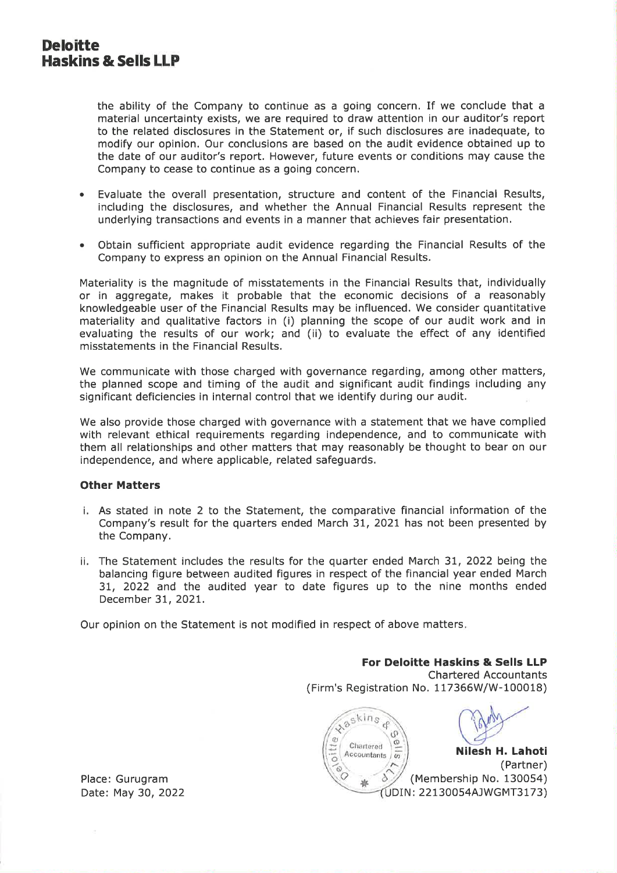the ability of the Company to continue as a going concern. If we conclude that a material uncertainty exists, we are required to draw attention in our auditor's report to the related disclosures in the Statement or, if such disclosures are inadequate, to modify our opinion. Our conclusions are based on the audit evidence obtained up to the date of our auditor's report. However, future events or conditions may cause the Company to cease to continue as a going concern.

- Evaluate the overall presentation, structure and content of the Financial Results,  $\bullet$ including the disclosures, and whether the Annual Financial Results represent the underlying transactions and events in a manner that achieves fair presentation.
- Obtain sufficient appropriate audit evidence regarding the Financial Results of the Company to express an opinion on the Annual Financial Results.

Materiality is the magnitude of misstatements in the Financial Results that, individually or in aggregate, makes it probable that the economic decisions of a reasonably knowledgeable user of the Financial Results may be influenced. We consider quantitative materiality and qualitative factors in (i) planning the scope of our audit work and in evaluating the results of our work; and (ii) to evaluate the effect of any identified misstatements in the Financial Results.

We communicate with those charged with governance regarding, among other matters, the planned scope and timing of the audit and significant audit findings including any significant deficiencies in internal control that we identify during our audit.

We also provide those charged with governance with a statement that we have complied with relevant ethical requirements regarding independence, and to communicate with them all relationships and other matters that may reasonably be thought to bear on our independence, and where applicable, related safeguards.

#### **Other Matters**

- i. As stated in note 2 to the Statement, the comparative financial information of the Company's result for the quarters ended March 31, 2021 has not been presented by the Company.
- ii. The Statement includes the results for the quarter ended March 31, 2022 being the balancing figure between audited figures in respect of the financial year ended March 31, 2022 and the audited year to date figures up to the nine months ended December 31, 2021.

Our opinion on the Statement is not modified in respect of above matters.

## For Deloitte Haskins & Sells LLP

**Chartered Accountants** (Firm's Registration No. 117366W/W-100018)



Place: Gurugram Date: May 30, 2022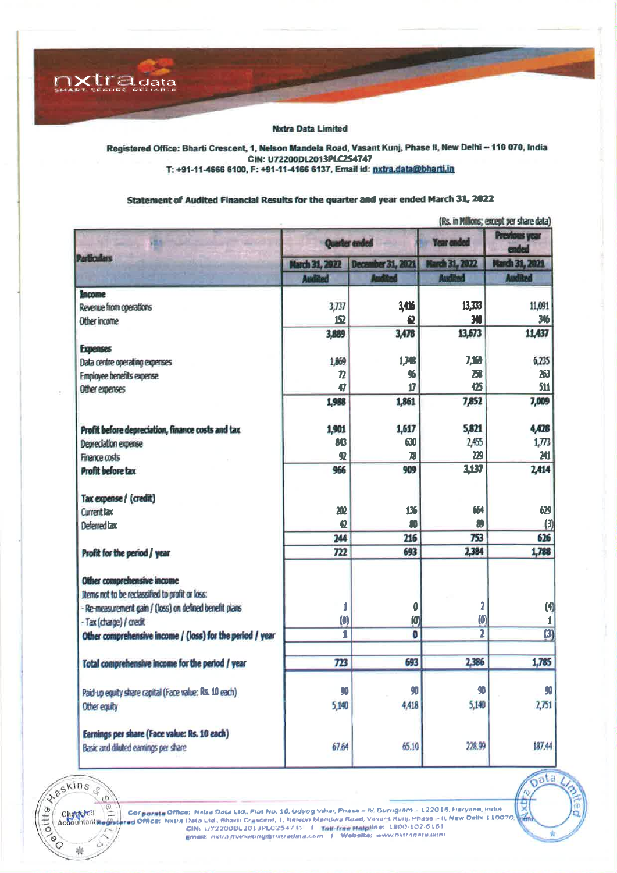**Nxtra Data Limited** 

#### Registered Office: Bharti Crescent, 1, Nelson Mandela Road, Vasant Kunj, Phase II, New Delhi - 110 070, India CIN: U72200DL2013PLC254747 T: +91-11-4666 6100, F: +91-11-4166 6137, Email id: nxtra.data@bharti.in

فتعلقت والمستنقل المستورث

#### Statement of Audited Financial Results for the quarter and year ended March 31, 2022

**MAR MPGM Ouatles ended** car caded ended **Particulars 831, 2021** rde 31, 2022 rch 31, 2021 March 31, 2022 **Andihad Audited Income** 11,091 3416 13.333 Revenue from operations  $3.737$ 340 346 152  $\mathbf{\Omega}$ Other income 13.673 11.437 3,889 3,478 **Fxnenses** 7.169 6.235 1.869 1.748 Data centre operating expenses 256 263 96 **Employee benefits expense**  $\boldsymbol{n}$  $\overline{q}$ 17 425 511 Other expenses 1.988 1,861 7,852 7,009 Profit before depreciation, finance costs and tax 1.901 1.617 5.821 4.428 2,455  $1.773$ 630 **Depreciation expense** 86 229  $\mathbf{p}$ 241 Finance costs  $\overline{R}$ **Profit before tax** 966 909 3,137 2414 Tax expense / (credit) **Current tax** 202 136 664 629 Deferred tax  $\mathbf Q$ 80 89  $\left( 3\right)$ 244 216 753 626 2,384 693 1,788  $\overline{m}$ Profit for the period / year Other comprehensive income Items not to be reclassified to profit or loss:  $\overline{2}$ - Re-measurement gain / (loss) on defined benefit plans  $\blacksquare$  $\mathbf 0$  $\left( 4 \right)$  $\omega$  $(0)$  $\left( 0 \right)$ - Tax (charge) / credit 1  $\overline{\mathbf{2}}$  $\overline{(\overline{\mathbf{5}})}$  $\overline{\mathbf{1}}$  $\mathbf{0}$ Other comprehensive income / (loss) for the period / year 693 2,386 1,785 Total comprehensive income for the period / year  $\overline{m}$ Paid-up equity share capital (Face value: Rs. 10 each)  $\blacksquare$ 90 90 90 5,140 4,418 5,140  $2,751$ Other equity Earnings per share (Face value: Rs. 10 each) 67.64 65.10 228.99 187.44 Basic and diluted earnings per share

(Rs. in Millions; except per share data)

ata ٥

**Election**  $\overline{d}$ ć٥  $\omega$ Charlord = **voitte** IPO

谳

nxtradata

Corporata Office: Nistra Data Ltd., Plot No, 16, Udyog Vihar, Phase - IV, Gurugram - 122015, Haryana, India red Office: Nxtra Data ⊾td., Rharti Crescent, 1, Nelson Mandera Road, Vasant Kunj, Phase – II, New Delhi £10070 CIN: U722000L2013PLC254747 | Toll-free Helpline: 1800-102-6161 Email: nxtra.marketing@nxtradata.com | Website: www.nxtradata.com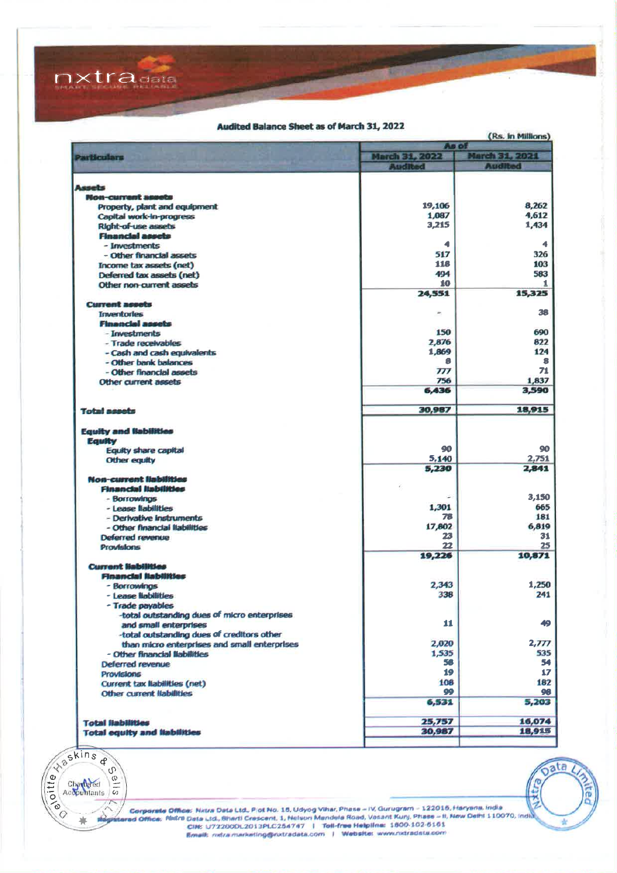# nxtrada

米

ς

plag

**Solute** 

#### **Audited Balance Sheet as of March 31, 2022**

**Andrew Company** 

| <b>Particulars</b>                               | <b>March 31, 2022</b> | As of<br>March 31, 2021 |
|--------------------------------------------------|-----------------------|-------------------------|
|                                                  | <b>Audited</b>        | <b>Audited</b>          |
| <b>Assets</b>                                    |                       |                         |
| <b>Non-current assets</b>                        |                       |                         |
| Property, plant and equipment                    | 19,106                | 8,262                   |
| Capital work-in-progress                         | 1,087                 | 4,612                   |
| Right-of-use assets                              | 3,215                 | 1,434                   |
| <b>Financial assets</b>                          |                       |                         |
| - Investments                                    |                       | 4                       |
| - Other financial assets                         | 517                   | 326                     |
| Income tax assets (net)                          | 118                   | 103                     |
| Deferred tax assets (net)                        | 494                   | 583                     |
| Other non-current assets                         | 10                    | 1                       |
|                                                  | 24,551                | 15,325                  |
| <b>Current assets</b>                            | $\Rightarrow$         | 38                      |
| <b>Inventories</b>                               |                       |                         |
| <b>Financial assets</b>                          | 150                   | 690                     |
| - Investments                                    |                       | 822                     |
| - Trade receivables                              | 2,876                 | 124                     |
| - Cash and cash equivalents                      | 1,869<br>я            | в                       |
| - Other bank balances                            |                       | 71                      |
| - Other financial assets<br>Other current assets | 777<br>756            | 1,837                   |
|                                                  | 6,436                 | 3,590                   |
| <b>Total assets</b>                              | 30,987                | 18,915                  |
|                                                  |                       |                         |
| <b>Equity and Ilabilities</b>                    |                       |                         |
| Equity                                           |                       |                         |
| <b>Equity share capital</b>                      | 90                    | 90                      |
| Other equity                                     | 5,140<br>5,230        | 2,751<br>2,841          |
| <b>Non-current liabilities</b>                   |                       |                         |
| <b>Financial liabilities</b>                     |                       |                         |
| - Borrowings                                     |                       | 3,150                   |
| - Lease liabilities                              | 1,301                 | 665                     |
| - Derivative instruments                         | 78                    | 181                     |
| - Other financial liabilities                    | 17,802                | 6,819                   |
| Deferred revenue                                 | 23                    | 31                      |
| <b>Provisions</b>                                | 22                    | 25                      |
|                                                  | 19,226                | 10,871                  |
| <b>Current Sabilities</b>                        |                       |                         |
| <b>Financial Itabilities</b>                     |                       |                         |
| - Borrowings                                     | 2,343                 | 1,250                   |
| - Lease liabilities                              | 338                   | 241                     |
| - Trade payables                                 |                       |                         |
| -total outstanding dues of micro enterprises     |                       |                         |
| and small enterprises                            | 11                    | 49                      |
| -total outstanding dues of creditors other       |                       |                         |
| than micro enterprises and small enterprises     | 2,020                 | 2, 777                  |
| - Other financial liabilities                    | 1,535                 | 535                     |
| <b>Deferred revenue</b>                          | 56                    | 54                      |
| <b>Provisions</b>                                | 19                    | 17                      |
| Current tax liabilities (net)                    | 108                   | 182                     |
| <b>Other current liabilities</b>                 | 99                    | 98                      |
|                                                  | 6,531                 | 5,203                   |
| <b>Total liabilities</b>                         |                       |                         |
|                                                  | 25,757<br>30,987      | 16,074<br>18,915        |
| <b>Total equity and liabilities</b>              |                       |                         |

Corporate Office: Nxtra Data Ltd., Piot No. 15, Udyog Vihar, Phase - IV, Gurugram - 122016, Haryana, India<br>Intered Office: Nxtra Data Ltd., Sharti Crescent, 1, Nelson Mandels Road, Vasant Kurj, Phase - II, New Dalhi 110070

pata<sub>l</sub>

**Era**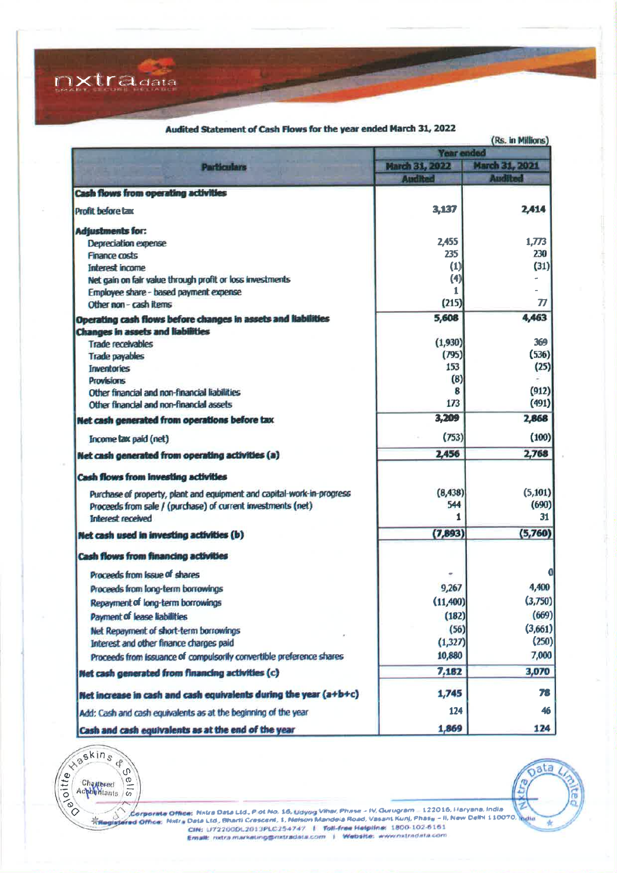**nxtradata** 

Waskins &

Chantered of

|                                                                        |                       | (Rs. in Millions)     |  |  |
|------------------------------------------------------------------------|-----------------------|-----------------------|--|--|
|                                                                        |                       | <b>Year ended</b>     |  |  |
| <b>Particulars</b>                                                     | <b>March 31, 2022</b> | <b>March 31, 2021</b> |  |  |
|                                                                        | Audited               | <b>Audited</b>        |  |  |
| <b>Cash flows from operating activities</b>                            |                       |                       |  |  |
| Profit before tax                                                      | 3,137                 | 2,414                 |  |  |
| <b>Adjustments for:</b>                                                |                       |                       |  |  |
| Depreciation expense                                                   | 2,455                 | 1,773                 |  |  |
| <b>Finance costs</b>                                                   | 235                   | 230                   |  |  |
| Interest income                                                        | (1)                   | (31)                  |  |  |
| Net gain on fair value through profit or loss investments              | (4)                   |                       |  |  |
| Employee share - based payment expense                                 | 1                     |                       |  |  |
| Other non - cash items                                                 | (215)                 | $\boldsymbol{\pi}$    |  |  |
| Operating cash flows before changes in assets and liabilities          | 5,608                 | 4,463                 |  |  |
| <b>Changes in assets and liabilities</b>                               |                       |                       |  |  |
| <b>Trade receivables</b>                                               | (1,930)               | 369                   |  |  |
| <b>Trade payables</b>                                                  | (795)                 | (536)                 |  |  |
| <b>Inventories</b>                                                     | 153                   | (25)                  |  |  |
| <b>Provisions</b>                                                      | (8)                   |                       |  |  |
| Other financial and non-financial liabilities                          | 8                     | (912)                 |  |  |
| Other financial and non-financial assets                               | 173                   | (491)                 |  |  |
| Net cash generated from operations before tax                          | 3,209                 | 2,868                 |  |  |
| Income tax paid (net)                                                  | (753)                 | (100)                 |  |  |
| Net cash generated from operating activities (a)                       | 2,456                 | 2,768                 |  |  |
| <b>Cash flows from investing activities</b>                            |                       |                       |  |  |
| Purchase of property, plant and equipment and capital-work-in-progress | (8, 438)              | (5, 101)              |  |  |
| Proceeds from sale / (purchase) of current investments (net)           | 544                   | (690)                 |  |  |
| <b>Interest received</b>                                               |                       | 31                    |  |  |
| Net cash used in investing activities (b)                              | (7,893)               | (5,760)               |  |  |
| <b>Cash flows from financing activities</b>                            |                       |                       |  |  |
| Proceeds from issue of shares                                          |                       |                       |  |  |
| Proceeds from long-term borrowings                                     | 9,267                 | 4,400                 |  |  |
| Repayment of long-term borrowings                                      | (11,400)              | (3,750)               |  |  |
| <b>Payment of lease liabilities</b>                                    | (182)                 | (669)                 |  |  |
| Net Repayment of short-term borrowings                                 | (56)                  | (3,661)               |  |  |
| Interest and other finance charges paid                                | (1, 327)              | (250)                 |  |  |
| Proceeds from issuance of compulsorily convertible preference shares   | 10,880                | 7,000                 |  |  |
| Net cash generated from financing activities (c)                       | 7,182                 | 3,070                 |  |  |
|                                                                        |                       |                       |  |  |
| Net increase in cash and cash equivalents during the year (a+b+c)      | 1,745                 | 78                    |  |  |
| Add: Cash and cash equivalents as at the beginning of the year         | 124                   | 46                    |  |  |
| Cash and cash equivalents as at the end of the year                    | 1,869                 | 124                   |  |  |

Audited Statement of Cash Flows for the year ended March 31, 2022

**Communication** 



ata

é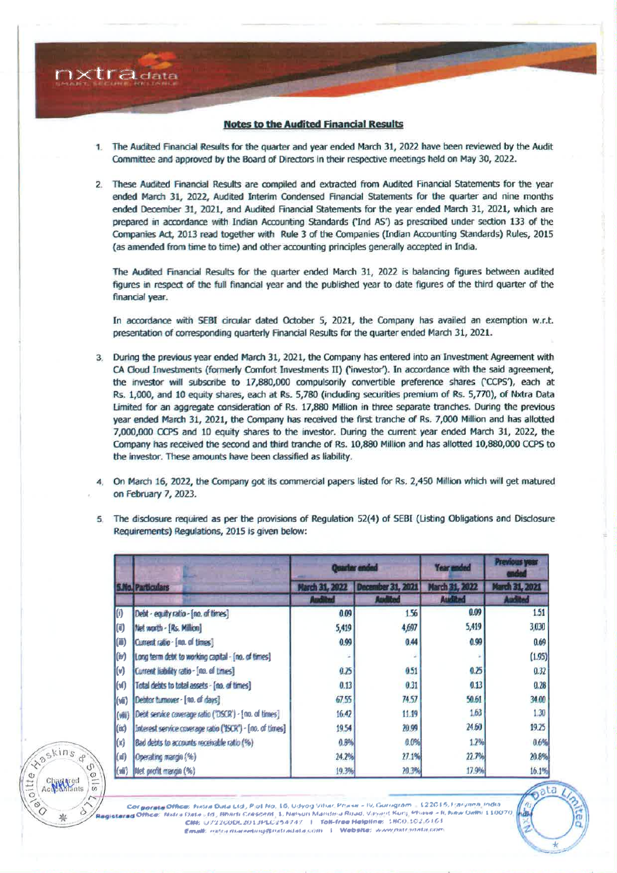#### **Notes to the Audited Financial Results**

 $n\times$ tr $a$ data

askins

1. The Audited Financial Results for the quarter and year ended March 31, 2022 have been reviewed by the Audit Committee and approved by the Board of Directors in their respective meetings held on May 30, 2022.

**ACRES DE LA P** 

2. These Audited Financial Results are compiled and extracted from Audited Financial Statements for the year ended March 31, 2022, Audited Interim Condensed Financial Statements for the quarter and nine months ended December 31, 2021, and Audited Financial Statements for the year ended March 31, 2021, which are prepared in accordance with Indian Accounting Standards ('Ind AS') as prescribed under section 133 of the Companies Act, 2013 read together with Rule 3 of the Companies (Indian Accounting Standards) Rules, 2015 (as amended from time to time) and other accounting principles generally accepted in India.

The Audited Financial Results for the quarter ended March 31, 2022 is balancing figures between audited figures in respect of the full financial year and the published year to date figures of the third quarter of the financial year.

In accordance with SEBI circular dated October 5, 2021, the Company has availed an exemption w.r.t. presentation of corresponding quarterly Financial Results for the quarter ended March 31, 2021.

- 3. During the previous year ended March 31, 2021, the Company has entered into an Investment Agreement with CA Cloud Investments (formerly Comfort Investments II) ('investor'). In accordance with the said agreement, the investor will subscribe to 17,880,000 compulsorily convertible preference shares ('CCPS'), each at Rs. 1,000, and 10 equity shares, each at Rs. 5,780 (including securities premium of Rs. 5,770), of Nxtra Data Limited for an aggregate consideration of Rs. 17,880 Million in three separate tranches. During the previous year ended March 31, 2021, the Company has received the first tranche of Rs. 7,000 Million and has allotted 7,000,000 CCPS and 10 equity shares to the investor. During the current year ended March 31, 2022, the Company has received the second and third tranche of Rs. 10,880 Million and has allotted 10,880,000 CCPS to the investor. These amounts have been classified as liability.
- 4. On March 16, 2022, the Company got its commercial papers listed for Rs. 2,450 Million which will get matured on February 7, 2023.
- 5. The disclosure required as per the provisions of Regulation 52(4) of SEBI (Listing Obligations and Disclosure Requirements) Regulations, 2015 is given below:

|                                                   |                                                           | <b>FOR BUT THE REAL</b> |       | Year ended     | <b>Previous</b> |
|---------------------------------------------------|-----------------------------------------------------------|-------------------------|-------|----------------|-----------------|
|                                                   | <b>5.No. Particulars</b>                                  |                         |       |                |                 |
|                                                   |                                                           |                         |       | <b>Audited</b> | Audited         |
| $\vert 0 \vert$                                   | Debt - equity ratio - [no. of times]                      | 0.09                    | 1.56  | 0.09           | 1.51            |
| $\vert{}$ (1)                                     | Net worth - [Rs. Million]                                 | 5,419                   | 4,697 | 5,419          | 3,030           |
| $\left(\begin{matrix} 1 \\ 0 \end{matrix}\right)$ | Current ratio - [no. of times]                            | 0.99                    | 0.44  | 0.99           | 0.69            |
| $(\omega)$                                        | Long term debt to working capital - [no. of times]        | u,                      |       |                | (1.95)          |
| $\boldsymbol{\left( v \right)}$                   | Current liability ratio - [no. of times]                  | 0.25                    | 0.51  | 0.25           | 0.32            |
| (M)                                               | Total debts to total assets - [no. of times]              | 0.13                    | 0.31  | 0.13           | 0.28            |
| (M)                                               | Debtor turnover - [no. of days]                           | 67.55                   | 74.57 | 50.61          | 34.00           |
| $(\sqrt{m})$                                      | Debt service coverage ratio ('DSCR') - [no. of times]     | 16.42                   | 11.19 | 1.63           | 1.30            |
| (ix)                                              | Interest service coverage ratio ('ISCR') - [no. of times] | 19.54                   | 20.99 | 24.60          | 19.25           |
| (x)                                               | Bad debts to accounts receivable ratio (%)                | 0.8%                    | 0.0%  | 1.2%           | 0.6%            |
| $\mathbf{M}$                                      | Operating margin (%)                                      | 24.2%                   | 27.1% | 22.7%          | 20.8%           |
|                                                   | Net profit margin (%)                                     | 19.3%                   | 20.3% | 17.9%          | 16.1%           |

Corporate Office: Niklsa Duta Ltd., Plot No., 16, Udyog Vibar, Priase - IV, Gurugram - 122015, Haryana, India stered Office: Nxtra Data std., Nharti Crescent, 1, Nelson Mandera Road, Vasant Kurs, Phase - II, New Delhi 110070 CIN: U722000L2013PLC254747 | Toll-free Helpline: 1800-102-0101 Email: extra marketing@extradata.com | Website: www.nxtradata.com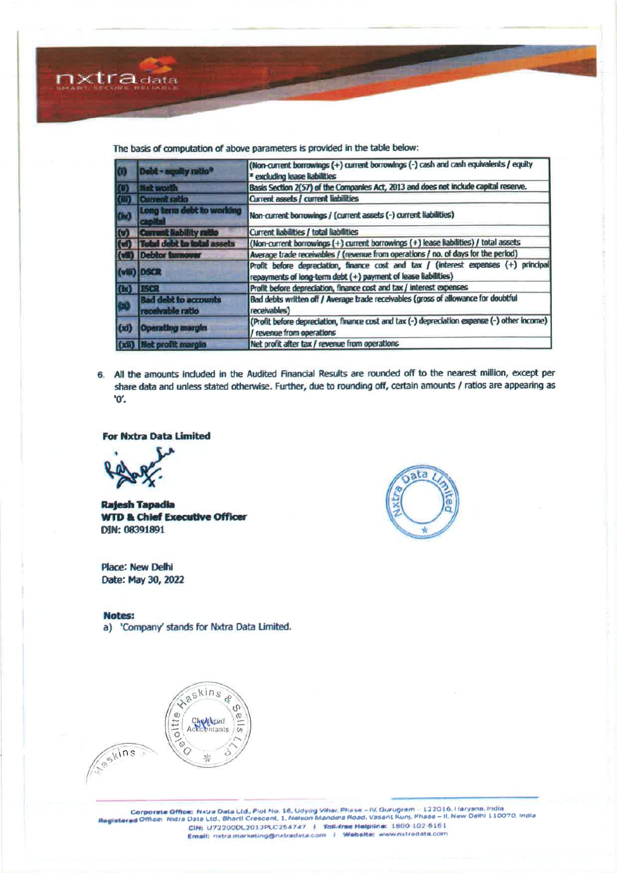nxtradata

The basis of computation of above parameters is provided in the table below:

| $\circ$    | Debt - equity ratio*                            | (Non-current borrowings (+) current borrowings (-) cash and cash equivalents / equity<br>* excluding lease liabilities                                |  |
|------------|-------------------------------------------------|-------------------------------------------------------------------------------------------------------------------------------------------------------|--|
|            | Nek worth                                       | Basis Section 2(57) of the Companies Act, 2013 and does not include capital reserve.                                                                  |  |
|            | <b>Current ratio</b>                            | Current assets / current liabilities                                                                                                                  |  |
| IT 1       | Long berm debt to working                       | Non-current borrowings / (current assets (-) current liabilities)                                                                                     |  |
| $(\omega)$ | <b>Current liability ratio</b>                  | Current liabilities / total liabilities                                                                                                               |  |
| ľШ         | utal debt to total assets                       | (Non-current borrowings (+) current borrowings (+) lease liabilities) / total assets                                                                  |  |
|            | Debtor turnover                                 | Average trade receivables / (revenue from operations / no. of days for the period)                                                                    |  |
|            | (VIII) DSCR                                     | Profit before depreciation, finance cost and tax / (interest expenses (+) principal<br>repayments of long-term debt (+) payment of lease liabilities) |  |
|            | 红色                                              | Profit before depreciation, finance cost and tax / interest expenses                                                                                  |  |
|            | <b>Bad debt to accounts</b><br>receivable ratio | Bad debts written off / Average trade receivables (gross of allowance for doubtful<br>receivables)                                                    |  |
| (a)        | <b>Operating margin</b>                         | (Profit before depreciation, finance cost and tax (-) depreciation expense (-) other income)<br>/ revenue from operations                             |  |
|            | <b>Net profit margin</b>                        | Net profit after tax / revenue from operations                                                                                                        |  |

فيستحصن والمستحدث

6. All the amounts included in the Audited Financial Results are rounded off to the nearest million, except per share data and unless stated otherwise. Further, due to rounding off, certain amounts / ratios are appearing as  $\mathbf{C}$ .

**For Nxtra Data Limited** 

**Rajesh Tapadia WTD & Chief Executive Officer** DIN: 08391891

**Place: New Delhi** Date: May 30, 2022

**Notes:** 

<sub>O</sub>skins

a) 'Company' stands for Nxtra Data Limited.



Corporate Office: Nxtra Data Ltd., Piot No. 16, Udyog Vihar, Phase - IV, Gurugram - 122016, Haryana, India<br>Registered Office: Nxtra Data Ltd., Bharti Crescent, 1, Nelson Mandela Road, Vasant Kunj, Phase - II, New Delhi 110 Email: nxtra marketing@nxtradata.com | Website: www.nxtradata.com